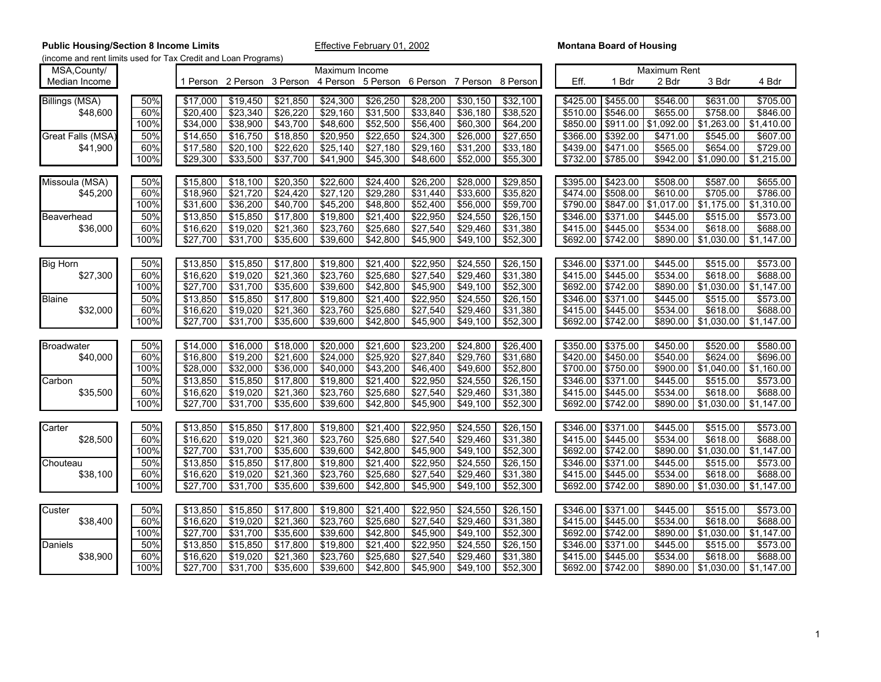| MSA, County/          |      |                     |          |          | Maximum Income       |                                                                |                  |          |          |          |          | Maximum Rent |            |            |
|-----------------------|------|---------------------|----------|----------|----------------------|----------------------------------------------------------------|------------------|----------|----------|----------|----------|--------------|------------|------------|
| Median Income         |      | 1 Person            |          |          |                      | 2 Person 3 Person 4 Person 5 Person 6 Person 7 Person 8 Person |                  |          |          | Eff.     | 1 Bdr    | 2 Bdr        | 3 Bdr      | 4 Bdr      |
| <b>Billings (MSA)</b> | 50%  | \$17,000            | \$19,450 | \$21,850 | $\sqrt{$24,300}$     | \$26,250                                                       | \$28,200         | \$30,150 | \$32,100 | \$425.00 | \$455.00 | \$546.00     | \$631.00   | \$705.00   |
| \$48,600              | 60%  | \$20,400            | \$23,340 | \$26,220 | \$29,160             | \$31,500                                                       | \$33,840         | \$36,180 | \$38,520 | \$510.00 | \$546.00 | \$655.00     | \$758.00   | \$846.00   |
|                       | 100% | \$34,000            | \$38,900 | \$43,700 | \$48,600             | \$52,500                                                       | \$56,400         | \$60,300 | \$64,200 | \$850.00 | \$911.00 | \$1,092.00   | \$1,263.00 | \$1,410.00 |
| Great Falls (MSA)     | 50%  | \$14,650            | \$16,750 | \$18,850 | \$20,950             | \$22,650                                                       | \$24,300         | \$26,000 | \$27,650 | \$366.00 | \$392.00 | \$471.00     | \$545.00   | \$607.00   |
| \$41,900              | 60%  | \$17,580            | \$20,100 | \$22,620 | \$25,140             | \$27,180                                                       | \$29,160         | \$31,200 | \$33,180 | \$439.00 | \$471.00 | \$565.00     | \$654.00   | \$729.00   |
|                       | 100% | \$29,300            | \$33,500 | \$37,700 | \$41,900             | \$45,300                                                       | \$48,600         | \$52,000 | \$55,300 | \$732.00 | \$785.00 | \$942.00     | \$1,090.00 | \$1,215.00 |
|                       |      |                     |          |          |                      |                                                                |                  |          |          |          |          |              |            |            |
| Missoula (MSA)        | 50%  | \$15,800            | \$18,100 | \$20,350 | \$22,600             | \$24,400                                                       | \$26,200         | \$28,000 | \$29,850 | \$395.00 | \$423.00 | \$508.00     | \$587.00   | \$655.00   |
| \$45,200              | 60%  | \$18,960            | \$21,720 | \$24,420 | \$27,120             | \$29,280                                                       | \$31,440         | \$33,600 | \$35,820 | \$474.00 | \$508.00 | \$610.00     | \$705.00   | \$786.00   |
|                       | 100% | \$31,600            | \$36,200 | \$40,700 | \$45,200             | \$48,800                                                       | \$52,400         | \$56,000 | \$59,700 | \$790.00 | \$847.00 | \$1,017.00   | \$1,175.00 | \$1,310.00 |
| Beaverhead            | 50%  | \$13,850            | \$15,850 | \$17,800 | \$19,800             | \$21,400                                                       | \$22,950         | \$24,550 | \$26,150 | \$346.00 | \$371.00 | \$445.00     | \$515.00   | \$573.00   |
| \$36,000              | 60%  | \$16,620            | \$19,020 | \$21,360 | \$23,760             | \$25,680                                                       | \$27,540         | \$29,460 | \$31,380 | \$415.00 | \$445.00 | \$534.00     | \$618.00   | \$688.00   |
|                       | 100% | \$27,700            | \$31,700 | \$35,600 | \$39,600             | \$42,800                                                       | \$45,900         | \$49,100 | \$52,300 | \$692.00 | \$742.00 | \$890.00     | \$1,030.00 | \$1,147.00 |
|                       |      |                     |          |          |                      |                                                                |                  |          |          |          |          |              |            |            |
| <b>Big Horn</b>       | 50%  | \$13,850            | \$15,850 | \$17,800 | \$19,800             | \$21,400                                                       | \$22,950         | \$24,550 | \$26,150 | \$346.00 | \$371.00 | \$445.00     | \$515.00   | \$573.00   |
| \$27,300              | 60%  | \$16,620            | \$19,020 | \$21,360 | \$23,760             | \$25,680                                                       | \$27,540         | \$29,460 | \$31,380 | \$415.00 | \$445.00 | \$534.00     | \$618.00   | \$688.00   |
|                       | 100% | \$27,700            | \$31,700 | \$35,600 | \$39,600             | \$42,800                                                       | \$45,900         | \$49,100 | \$52,300 | \$692.00 | \$742.00 | \$890.00     | \$1,030.00 | \$1,147.00 |
| <b>Blaine</b>         | 50%  | \$13,850            | \$15,850 | \$17,800 | \$19,800             | \$21,400                                                       | \$22,950         | \$24,550 | \$26,150 | \$346.00 | \$371.00 | \$445.00     | \$515.00   | \$573.00   |
| \$32,000              | 60%  | \$16,620            | \$19,020 | \$21,360 | \$23,760             | \$25,680                                                       | \$27,540         | \$29,460 | \$31,380 | \$415.00 | \$445.00 | \$534.00     | \$618.00   | \$688.00   |
|                       | 100% | \$27,700            | \$31,700 | \$35,600 | \$39,600             | \$42,800                                                       | \$45,900         | \$49,100 | \$52,300 | \$692.00 | \$742.00 | \$890.00     | \$1,030.00 | \$1,147.00 |
|                       |      |                     |          |          |                      |                                                                |                  |          |          |          |          |              |            |            |
| <b>Broadwater</b>     | 50%  | \$14,000            | \$16,000 | \$18,000 | \$20,000             | \$21,600                                                       | \$23,200         | \$24,800 | \$26,400 | \$350.00 | \$375.00 | \$450.00     | \$520.00   | \$580.00   |
| \$40,000              | 60%  | \$16,800            | \$19,200 | \$21,600 | \$24,000             | \$25,920                                                       | \$27,840         | \$29,760 | \$31,680 | \$420.00 | \$450.00 | \$540.00     | \$624.00   | \$696.00   |
|                       | 100% | \$28,000            | \$32,000 | \$36,000 | \$40,000             | \$43,200                                                       | \$46,400         | \$49,600 | \$52,800 | \$700.00 | \$750.00 | \$900.00     | \$1,040.00 | \$1,160.00 |
| Carbon                | 50%  | \$13,850            | \$15,850 | \$17,800 | \$19,800             | \$21,400                                                       | \$22,950         | \$24,550 | \$26,150 | \$346.00 | \$371.00 | \$445.00     | \$515.00   | \$573.00   |
| \$35,500              | 60%  | \$16.620            | \$19,020 | \$21,360 | \$23,760             | \$25,680                                                       | \$27,540         | \$29,460 | \$31,380 | \$415.00 | \$445.00 | \$534.00     | \$618.00   | \$688.00   |
|                       | 100% | \$27,700            | \$31,700 | \$35,600 | \$39,600             | \$42,800                                                       | \$45,900         | \$49,100 | \$52,300 | \$692.00 | \$742.00 | \$890.00     | \$1,030.00 | \$1,147.00 |
|                       |      |                     |          |          |                      |                                                                |                  |          |          |          |          |              |            |            |
| Carter                | 50%  | \$13,850            | \$15,850 | \$17,800 | \$19,800             | \$21,400                                                       | \$22,950         | \$24,550 | \$26,150 | \$346.00 | \$371.00 | \$445.00     | \$515.00   | \$573.00   |
| \$28,500              | 60%  | \$16,620            | \$19,020 | \$21,360 | \$23,760             | \$25,680                                                       | \$27,540         | \$29,460 | \$31,380 | \$415.00 | \$445.00 | \$534.00     | \$618.00   | \$688.00   |
|                       | 100% | \$27,700            | \$31,700 | \$35,600 | \$39,600             | \$42,800                                                       | \$45,900         | \$49,100 | \$52,300 | \$692.00 | \$742.00 | \$890.00     | \$1,030.00 | \$1,147.00 |
| Chouteau              | 50%  | \$13,850            | \$15,850 | \$17,800 | \$19,800             | \$21,400                                                       | \$22,950         | \$24,550 | \$26,150 | \$346.00 | \$371.00 | \$445.00     | \$515.00   | \$573.00   |
| \$38,100              | 60%  | \$16,620            | \$19,020 | \$21,360 | \$23,760             | \$25,680                                                       | \$27,540         | \$29,460 | \$31,380 | \$415.00 | \$445.00 | \$534.00     | \$618.00   | \$688.00   |
|                       | 100% | $\sqrt{$27,700}$    | \$31,700 | \$35,600 | \$39,600             | \$42,800                                                       | \$45,900         | \$49,100 | \$52,300 | \$692.00 | \$742.00 | \$890.00     | \$1,030.00 | \$1,147.00 |
|                       |      |                     |          |          |                      |                                                                |                  |          |          |          |          |              |            |            |
| Custer                | 50%  | \$13,850            | \$15,850 | \$17,800 | \$19,800             | \$21,400                                                       | \$22,950         | \$24,550 | \$26,150 | \$346.00 | \$371.00 | \$445.00     | \$515.00   | \$573.00   |
| \$38,400              | 60%  | \$16,620            | \$19,020 | \$21,360 | \$23,760             | \$25,680<br>\$42,800                                           | \$27,540         | \$29,460 | \$31,380 | \$415.00 | \$445.00 | \$534.00     | \$618.00   | \$688.00   |
|                       | 100% | \$27,700            | \$31,700 | \$35,600 | \$39,600             |                                                                | \$45,900         | \$49,100 | \$52,300 | \$692.00 | \$742.00 | \$890.00     | \$1,030.00 | \$1,147.00 |
| Daniels               | 50%  | \$13,850            | \$15,850 | \$17,800 | \$19,800             | \$21,400                                                       | \$22,950         | \$24,550 | \$26,150 | \$346.00 | \$371.00 | \$445.00     | \$515.00   | \$573.00   |
| \$38,900              | 60%  | \$16,620            | \$19.020 | \$21.360 | $\overline{$}23,760$ | \$25.680                                                       | \$27,540         | \$29,460 | \$31,380 | \$415.00 | \$445.00 | \$534.00     | \$618.00   | \$688.00   |
|                       | 100% | $\frac{1}{227,700}$ | \$31,700 | \$35,600 | \$39,600             | \$42,800                                                       | $\sqrt{$45,900}$ | \$49,100 | \$52,300 | \$692.00 | \$742.00 | \$890.00     | \$1,030.00 | \$1,147.00 |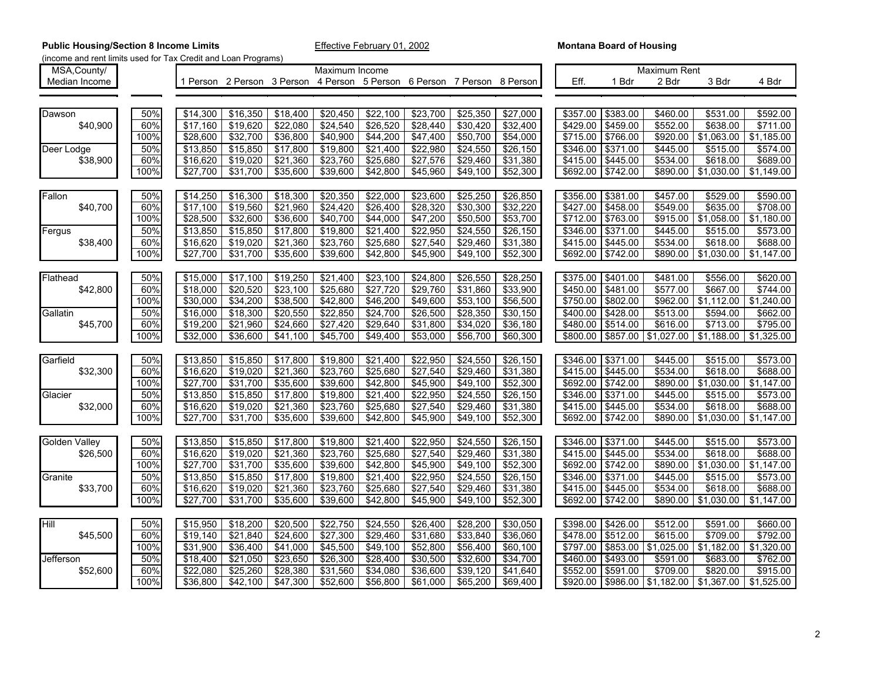| MSA, County/         |      |          |                                                                         |          | Maximum Income |                  |          |          |          |          |          | Maximum Rent        |            |            |
|----------------------|------|----------|-------------------------------------------------------------------------|----------|----------------|------------------|----------|----------|----------|----------|----------|---------------------|------------|------------|
| Median Income        |      |          | 1 Person 2 Person 3 Person 4 Person 5 Person 6 Person 7 Person 8 Person |          |                |                  |          |          |          | Eff.     | 1 Bdr    | 2 Bdr               | 3 Bdr      | 4 Bdr      |
|                      |      |          |                                                                         |          |                |                  |          |          |          |          |          |                     |            |            |
|                      |      |          |                                                                         |          |                |                  |          |          |          |          |          |                     |            |            |
| Dawson               | 50%  | \$14,300 | \$16,350                                                                | \$18,400 | \$20,450       | \$22,100         | \$23,700 | \$25,350 | \$27,000 | \$357.00 | \$383.00 | \$460.00            | \$531.00   | \$592.00   |
| \$40.900             | 60%  | \$17,160 | \$19,620                                                                | \$22,080 | \$24,540       | \$26,520         | \$28,440 | \$30,420 | \$32,400 | \$429.00 | \$459.00 | \$552.00            | \$638.00   | \$711.00   |
|                      | 100% | \$28,600 | \$32,700                                                                | \$36,800 | \$40,900       | \$44,200         | \$47,400 | \$50,700 | \$54,000 | \$715.00 | \$766.00 | \$920.00            | \$1,063.00 | \$1,185.00 |
| Deer Lodge           | 50%  | \$13,850 | \$15,850                                                                | \$17,800 | \$19,800       | \$21,400         | \$22,980 | \$24,550 | \$26,150 | \$346.00 | \$371.00 | \$445.00            | \$515.00   | \$574.00   |
| \$38,900             | 60%  | \$16,620 | \$19,020                                                                | \$21,360 | \$23,760       | \$25,680         | \$27,576 | \$29,460 | \$31,380 | \$415.00 | \$445.00 | \$534.00            | \$618.00   | \$689.00   |
|                      | 100% | \$27,700 | \$31,700                                                                | \$35,600 | \$39,600       | \$42,800         | \$45,960 | \$49,100 | \$52,300 | \$692.00 | \$742.00 | \$890.00            | \$1,030.00 | \$1,149.00 |
|                      |      |          |                                                                         |          |                |                  |          |          |          |          |          |                     |            |            |
|                      |      |          |                                                                         |          |                |                  |          |          |          |          |          |                     |            |            |
| Fallon               | 50%  | \$14,250 | \$16,300                                                                | \$18,300 | \$20,350       | \$22,000         | \$23,600 | \$25,250 | \$26,850 | \$356.00 | \$381.00 | \$457.00            | \$529.00   | \$590.00   |
| \$40,700             | 60%  | \$17,100 | \$19,560                                                                | \$21,960 | \$24,420       | \$26,400         | \$28,320 | \$30,300 | \$32,220 | \$427.00 | \$458.00 | \$549.00            | \$635.00   | \$708.00   |
|                      | 100% | \$28,500 | \$32,600                                                                | \$36,600 | \$40,700       | \$44,000         | \$47,200 | \$50,500 | \$53,700 | \$712.00 | \$763.00 | \$915.00            | \$1,058.00 | \$1,180.00 |
| Fergus               | 50%  | \$13,850 | \$15,850                                                                | \$17,800 | \$19,800       | \$21,400         | \$22,950 | \$24,550 | \$26,150 | \$346.00 | \$371.00 | \$445.00            | \$515.00   | \$573.00   |
| \$38,400             | 60%  | \$16,620 | \$19,020                                                                | \$21,360 | \$23,760       | \$25,680         | \$27,540 | \$29,460 | \$31,380 | \$415.00 | \$445.00 | \$534.00            | \$618.00   | \$688.00   |
|                      | 100% | \$27,700 | \$31,700                                                                | \$35,600 | \$39,600       | \$42,800         | \$45,900 | \$49,100 | \$52,300 | \$692.00 | \$742.00 | \$890.00            | \$1,030.00 | \$1,147.00 |
|                      |      |          |                                                                         |          |                |                  |          |          |          |          |          |                     |            |            |
| Flathead             | 50%  | \$15,000 | \$17,100                                                                | \$19,250 | \$21,400       | \$23,100         | \$24,800 | \$26,550 | \$28,250 | \$375.00 | \$401.00 | \$481.00            | \$556.00   | \$620.00   |
| \$42,800             | 60%  | \$18,000 | \$20,520                                                                | \$23,100 | \$25,680       | \$27,720         | \$29,760 | \$31,860 | \$33,900 | \$450.00 | \$481.00 | \$577.00            | \$667.00   | \$744.00   |
|                      | 100% | \$30,000 | \$34,200                                                                | \$38,500 | \$42,800       | \$46,200         | \$49,600 | \$53,100 | \$56,500 | \$750.00 | \$802.00 | \$962.00            | \$1,112.00 | \$1,240.00 |
| Gallatin             | 50%  | \$16,000 | \$18,300                                                                | \$20,550 | \$22,850       | \$24,700         | \$26,500 | \$28,350 | \$30,150 | \$400.00 | \$428.00 | \$513.00            | \$594.00   | \$662.00   |
| \$45,700             | 60%  | \$19,200 | \$21,960                                                                | \$24,660 | \$27,420       | \$29,640         | \$31,800 | \$34,020 | \$36,180 | \$480.00 | \$514.00 | \$616.00            | \$713.00   | \$795.00   |
|                      | 100% | \$32,000 | \$36,600                                                                | \$41,100 | \$45,700       | \$49,400         | \$53,000 | \$56,700 | \$60,300 | \$800.00 |          | \$857.00 \$1,027.00 | \$1,188.00 | \$1,325.00 |
|                      |      |          |                                                                         |          |                |                  |          |          |          |          |          |                     |            |            |
|                      |      |          |                                                                         |          |                |                  |          |          |          |          |          |                     |            |            |
| Garfield             | 50%  | \$13,850 | \$15,850                                                                | \$17,800 | \$19,800       | \$21,400         | \$22,950 | \$24,550 | \$26,150 | \$346.00 | \$371.00 | \$445.00            | \$515.00   | \$573.00   |
| \$32,300             | 60%  | \$16,620 | \$19,020                                                                | \$21,360 | \$23,760       | \$25,680         | \$27,540 | \$29,460 | \$31,380 | \$415.00 | \$445.00 | \$534.00            | \$618.00   | \$688.00   |
|                      | 100% | \$27,700 | \$31,700                                                                | \$35,600 | \$39,600       | \$42,800         | \$45,900 | \$49,100 | \$52,300 | \$692.00 | \$742.00 | \$890.00            | \$1,030.00 | \$1,147.00 |
| Glacier              | 50%  | \$13,850 | \$15,850                                                                | \$17,800 | \$19,800       | \$21,400         | \$22,950 | \$24,550 | \$26,150 | \$346.00 | \$371.00 | \$445.00            | \$515.00   | \$573.00   |
| \$32,000             | 60%  | \$16,620 | \$19,020                                                                | \$21,360 | \$23,760       | \$25,680         | \$27,540 | \$29,460 | \$31,380 | \$415.00 | \$445.00 | \$534.00            | \$618.00   | \$688.00   |
|                      | 100% | \$27,700 | \$31,700                                                                | \$35,600 | \$39,600       | \$42,800         | \$45,900 | \$49,100 | \$52,300 | \$692.00 | \$742.00 | \$890.00            | \$1,030.00 | \$1,147.00 |
|                      |      |          |                                                                         |          |                |                  |          |          |          |          |          |                     |            |            |
| <b>Golden Valley</b> | 50%  | \$13,850 | \$15,850                                                                | \$17,800 | \$19,800       | \$21,400         | \$22,950 | \$24,550 | \$26,150 | \$346.00 | \$371.00 | \$445.00            | \$515.00   | \$573.00   |
| \$26,500             | 60%  | \$16,620 | \$19,020                                                                | \$21,360 | \$23,760       | \$25,680         | \$27,540 | \$29,460 | \$31,380 | \$415.00 | \$445.00 | \$534.00            | \$618.00   | \$688.00   |
|                      | 100% | \$27,700 | \$31,700                                                                | \$35,600 | \$39,600       | \$42,800         | \$45,900 | \$49,100 | \$52,300 | \$692.00 | \$742.00 | \$890.00            | \$1,030.00 | \$1,147.00 |
| Granite              | 50%  | \$13,850 | \$15,850                                                                | \$17,800 | \$19,800       | \$21,400         | \$22,950 | \$24,550 | \$26,150 | \$346.00 | \$371.00 | \$445.00            | \$515.00   | \$573.00   |
| \$33,700             | 60%  | \$16,620 | \$19,020                                                                | \$21,360 | \$23,760       | \$25,680         | \$27,540 | \$29,460 | \$31,380 | \$415.00 | \$445.00 | \$534.00            | \$618.00   | \$688.00   |
|                      | 100% | \$27,700 | \$31,700                                                                | \$35,600 | \$39,600       | \$42,800         | \$45,900 | \$49,100 | \$52,300 | \$692.00 | \$742.00 | \$890.00            | \$1,030.00 | \$1,147.00 |
|                      |      |          |                                                                         |          |                |                  |          |          |          |          |          |                     |            |            |
|                      |      |          |                                                                         |          |                |                  |          |          |          |          |          |                     |            | \$660.00   |
| Hill                 | 50%  | \$15,950 | \$18,200                                                                | \$20,500 | \$22,750       | \$24,550         | \$26,400 | \$28,200 | \$30,050 | \$398.00 | \$426.00 | \$512.00            | \$591.00   |            |
| \$45,500             | 60%  | \$19,140 | \$21,840                                                                | \$24,600 | \$27,300       | \$29,460         | \$31,680 | \$33,840 | \$36,060 | \$478.00 | \$512.00 | \$615.00            | \$709.00   | \$792.00   |
|                      | 100% | \$31,900 | \$36,400                                                                | \$41,000 | \$45,500       | \$49,100         | \$52,800 | \$56,400 | \$60,100 | \$797.00 | \$853.00 | \$1,025.00          | \$1,182.00 | \$1,320.00 |
| Jefferson            | 50%  | \$18,400 | \$21,050                                                                | \$23,650 | \$26,300       | $\sqrt{$28,400}$ | \$30,500 | \$32,600 | \$34,700 | \$460.00 | \$493.00 | \$591.00            | \$683.00   | \$762.00   |
| \$52,600             | 60%  | \$22,080 | \$25,260                                                                | \$28,380 | \$31,560       | \$34,080         | \$36,600 | \$39,120 | \$41,640 | \$552.00 | \$591.00 | \$709.00            | \$820.00   | \$915.00   |
|                      | 100% | \$36,800 | \$42,100                                                                | \$47,300 | \$52,600       | \$56,800         | \$61,000 | \$65,200 | \$69,400 | \$920.00 |          | \$986.00 \$1,182.00 | \$1,367.00 | \$1,525.00 |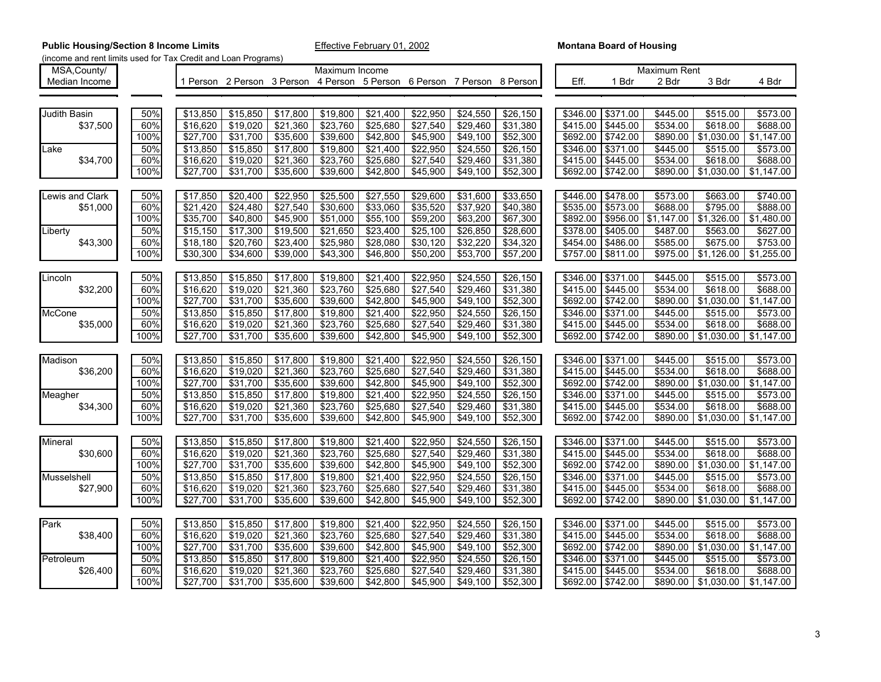| MSA, County/           |      |          |                                                                         |          | Maximum Income |                  |          |          |          |          |          | Maximum Rent |            |            |
|------------------------|------|----------|-------------------------------------------------------------------------|----------|----------------|------------------|----------|----------|----------|----------|----------|--------------|------------|------------|
| Median Income          |      |          | 1 Person 2 Person 3 Person 4 Person 5 Person 6 Person 7 Person 8 Person |          |                |                  |          |          |          | Eff.     | 1 Bdr    | 2 Bdr        | 3 Bdr      | 4 Bdr      |
|                        |      |          |                                                                         |          |                |                  |          |          |          |          |          |              |            |            |
|                        |      |          |                                                                         |          |                |                  |          |          |          |          |          |              |            |            |
| <b>Judith Basin</b>    | 50%  | \$13,850 | \$15,850                                                                | \$17,800 | \$19,800       | \$21,400         | \$22,950 | \$24,550 | \$26,150 | \$346.00 | \$371.00 | \$445.00     | \$515.00   | \$573.00   |
| \$37,500               | 60%  | \$16,620 | \$19,020                                                                | \$21,360 | \$23,760       | \$25,680         | \$27,540 | \$29,460 | \$31,380 | \$415.00 | \$445.00 | \$534.00     | \$618.00   | \$688.00   |
|                        | 100% | \$27,700 | \$31,700                                                                | \$35,600 | \$39,600       | \$42,800         | \$45,900 | \$49,100 | \$52,300 | \$692.00 | \$742.00 | \$890.00     | \$1,030.00 | \$1,147.00 |
| Lake                   | 50%  | \$13,850 | \$15,850                                                                | \$17,800 | \$19,800       | \$21,400         | \$22,950 | \$24,550 | \$26,150 | \$346.00 | \$371.00 | \$445.00     | \$515.00   | \$573.00   |
| \$34,700               | 60%  | \$16,620 | \$19,020                                                                | \$21,360 | \$23,760       | \$25,680         | \$27,540 | \$29,460 | \$31,380 | \$415.00 | \$445.00 | \$534.00     | \$618.00   | \$688.00   |
|                        | 100% | \$27,700 | \$31,700                                                                | \$35,600 | \$39,600       | \$42,800         | \$45,900 | \$49,100 | \$52,300 | \$692.00 | \$742.00 | \$890.00     | \$1,030.00 | \$1,147.00 |
|                        |      |          |                                                                         |          |                |                  |          |          |          |          |          |              |            |            |
|                        |      |          |                                                                         |          |                |                  |          |          |          |          |          |              |            |            |
| <b>Lewis and Clark</b> | 50%  | \$17,850 | \$20,400                                                                | \$22,950 | \$25,500       | \$27,550         | \$29,600 | \$31,600 | \$33,650 | \$446.00 | \$478.00 | \$573.00     | \$663.00   | \$740.00   |
| \$51.000               | 60%  | \$21,420 | \$24,480                                                                | \$27,540 | \$30,600       | \$33,060         | \$35,520 | \$37,920 | \$40,380 | \$535.00 | \$573.00 | \$688.00     | \$795.00   | \$888.00   |
|                        | 100% | \$35,700 | \$40,800                                                                | \$45,900 | \$51,000       | \$55,100         | \$59,200 | \$63,200 | \$67,300 | \$892.00 | \$956.00 | \$1,147.00   | \$1,326.00 | \$1,480.00 |
| Liberty                | 50%  | \$15,150 | \$17,300                                                                | \$19,500 | \$21,650       | \$23,400         | \$25,100 | \$26,850 | \$28,600 | \$378.00 | \$405.00 | \$487.00     | \$563.00   | \$627.00   |
| \$43,300               | 60%  | \$18,180 | \$20,760                                                                | \$23,400 | \$25,980       | \$28,080         | \$30,120 | \$32,220 | \$34,320 | \$454.00 | \$486.00 | \$585.00     | \$675.00   | \$753.00   |
|                        | 100% | \$30,300 | \$34,600                                                                | \$39,000 | \$43,300       | \$46,800         | \$50,200 | \$53,700 | \$57,200 | \$757.00 | \$811.00 | \$975.00     | \$1,126.00 | \$1,255.00 |
|                        |      |          |                                                                         |          |                |                  |          |          |          |          |          |              |            |            |
| Lincoln                | 50%  | \$13,850 | \$15,850                                                                | \$17,800 | \$19,800       | \$21,400         | \$22,950 | \$24,550 | \$26,150 | \$346.00 | \$371.00 | \$445.00     | \$515.00   | \$573.00   |
| \$32,200               | 60%  | \$16,620 | \$19,020                                                                | \$21,360 | \$23,760       | \$25,680         | \$27,540 | \$29,460 | \$31,380 | \$415.00 | \$445.00 | \$534.00     | \$618.00   | \$688.00   |
|                        | 100% | \$27,700 | \$31,700                                                                | \$35,600 | \$39,600       | \$42,800         | \$45,900 | \$49,100 | \$52,300 | \$692.00 | \$742.00 | \$890.00     | \$1,030.00 | \$1,147.00 |
| McCone                 | 50%  | \$13,850 | \$15,850                                                                | \$17,800 | \$19,800       | \$21,400         | \$22,950 | \$24,550 | \$26,150 | \$346.00 | \$371.00 | \$445.00     | \$515.00   | \$573.00   |
| \$35,000               | 60%  | \$16,620 | \$19,020                                                                | \$21,360 | \$23,760       | \$25,680         | \$27,540 | \$29,460 | \$31,380 | \$415.00 | \$445.00 | \$534.00     | \$618.00   | \$688.00   |
|                        | 100% | \$27,700 | \$31,700                                                                | \$35,600 | \$39,600       | \$42,800         | \$45,900 | \$49,100 | \$52,300 | \$692.00 | \$742.00 | \$890.00     | \$1,030.00 | \$1,147.00 |
|                        |      |          |                                                                         |          |                |                  |          |          |          |          |          |              |            |            |
| Madison                | 50%  | \$13,850 | \$15,850                                                                | \$17,800 | \$19,800       | \$21,400         | \$22,950 | \$24,550 | \$26,150 | \$346.00 | \$371.00 | \$445.00     | \$515.00   | \$573.00   |
| \$36,200               | 60%  | \$16,620 | \$19,020                                                                | \$21,360 | \$23,760       | \$25,680         | \$27,540 | \$29,460 | \$31,380 | \$415.00 | \$445.00 | \$534.00     | \$618.00   | \$688.00   |
|                        | 100% | \$27,700 | \$31,700                                                                | \$35,600 | \$39,600       | \$42,800         | \$45,900 | \$49,100 | \$52,300 | \$692.00 | \$742.00 | \$890.00     | \$1,030.00 | \$1,147.00 |
| Meagher                | 50%  | \$13,850 | \$15,850                                                                | \$17,800 | \$19,800       | \$21,400         | \$22,950 | \$24,550 | \$26,150 | \$346.00 | \$371.00 | \$445.00     | \$515.00   | \$573.00   |
| \$34,300               | 60%  | \$16,620 | \$19,020                                                                | \$21,360 | \$23,760       | \$25,680         | \$27,540 | \$29,460 | \$31,380 | \$415.00 | \$445.00 | \$534.00     | \$618.00   | \$688.00   |
|                        | 100% | \$27,700 | \$31,700                                                                | \$35,600 | \$39,600       | \$42,800         | \$45,900 | \$49,100 | \$52,300 | \$692.00 | \$742.00 | \$890.00     | \$1,030.00 | \$1,147.00 |
|                        |      |          |                                                                         |          |                |                  |          |          |          |          |          |              |            |            |
|                        |      |          |                                                                         |          |                |                  |          |          |          |          |          |              |            |            |
| Mineral                | 50%  | \$13,850 | \$15,850                                                                | \$17,800 | \$19,800       | \$21,400         | \$22,950 | \$24,550 | \$26,150 | \$346.00 | \$371.00 | \$445.00     | \$515.00   | \$573.00   |
| \$30,600               | 60%  | \$16,620 | \$19,020                                                                | \$21,360 | \$23,760       | \$25,680         | \$27,540 | \$29,460 | \$31,380 | \$415.00 | \$445.00 | \$534.00     | \$618.00   | \$688.00   |
|                        | 100% | \$27,700 | \$31,700                                                                | \$35,600 | \$39,600       | \$42,800         | \$45,900 | \$49,100 | \$52,300 | \$692.00 | \$742.00 | \$890.00     | \$1,030.00 | \$1,147.00 |
| Musselshell            | 50%  | \$13,850 | \$15,850                                                                | \$17,800 | \$19,800       | \$21,400         | \$22,950 | \$24,550 | \$26,150 | \$346.00 | \$371.00 | \$445.00     | \$515.00   | \$573.00   |
| \$27,900               | 60%  | \$16,620 | \$19,020                                                                | \$21,360 | \$23,760       | \$25,680         | \$27,540 | \$29,460 | \$31,380 | \$415.00 | \$445.00 | \$534.00     | \$618.00   | \$688.00   |
|                        | 100% | \$27,700 | \$31,700                                                                | \$35,600 | \$39,600       | \$42,800         | \$45,900 | \$49,100 | \$52,300 | \$692.00 | \$742.00 | \$890.00     | \$1,030.00 | \$1,147.00 |
|                        |      |          |                                                                         |          |                |                  |          |          |          |          |          |              |            |            |
| Park                   | 50%  | \$13,850 | \$15,850                                                                | \$17,800 | \$19,800       | \$21,400         | \$22,950 | \$24,550 | \$26,150 | \$346.00 | \$371.00 | \$445.00     | \$515.00   | \$573.00   |
| \$38,400               | 60%  | \$16,620 | \$19,020                                                                | \$21,360 | \$23,760       | \$25,680         | \$27,540 | \$29,460 | \$31,380 | \$415.00 | \$445.00 | \$534.00     | \$618.00   | \$688.00   |
|                        | 100% | \$27,700 | \$31,700                                                                | \$35,600 | \$39,600       | \$42,800         | \$45,900 | \$49,100 | \$52,300 | \$692.00 | \$742.00 | \$890.00     | \$1,030.00 | \$1,147.00 |
| Petroleum              | 50%  | \$13.850 | \$15,850                                                                | \$17,800 | \$19,800       | $\sqrt{$21,400}$ | \$22,950 | \$24,550 | \$26,150 | \$346.00 | \$371.00 | \$445.00     | \$515.00   | \$573.00   |
| \$26,400               | 60%  | \$16,620 | \$19,020                                                                | \$21,360 | \$23,760       | \$25,680         | \$27,540 | \$29,460 | \$31,380 | \$415.00 | \$445.00 | \$534.00     | \$618.00   | \$688.00   |
|                        | 100% | \$27,700 | \$31,700                                                                | \$35,600 | \$39,600       | \$42,800         | \$45,900 | \$49,100 | \$52,300 | \$692.00 | \$742.00 | \$890.00     | \$1,030.00 | \$1,147.00 |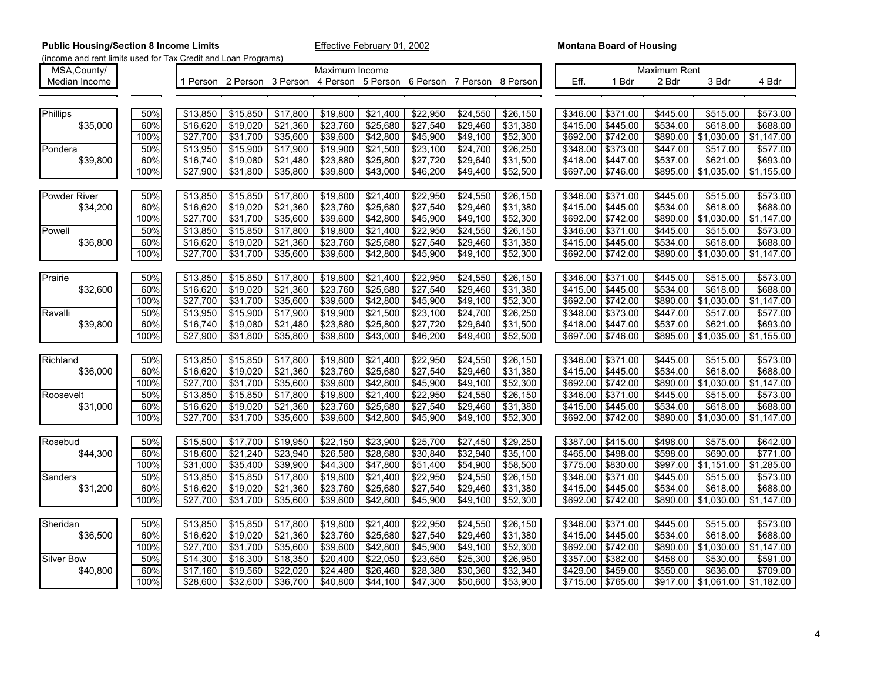| MSA, County/        |      |                  |                                                                         |          | Maximum Income   |          |                      |          |          |          |          | <b>Maximum Rent</b> |            |            |
|---------------------|------|------------------|-------------------------------------------------------------------------|----------|------------------|----------|----------------------|----------|----------|----------|----------|---------------------|------------|------------|
| Median Income       |      |                  | 1 Person 2 Person 3 Person 4 Person 5 Person 6 Person 7 Person 8 Person |          |                  |          |                      |          |          | Eff.     | 1 Bdr    | 2 Bdr               | 3 Bdr      | 4 Bdr      |
|                     |      |                  |                                                                         |          |                  |          |                      |          |          |          |          |                     |            |            |
|                     |      |                  |                                                                         |          |                  |          |                      |          |          |          |          |                     |            |            |
| <b>Phillips</b>     | 50%  | \$13,850         | \$15,850                                                                | \$17,800 | \$19,800         | \$21,400 | \$22,950             | \$24,550 | \$26,150 | \$346.00 | \$371.00 | \$445.00            | \$515.00   | \$573.00   |
| \$35,000            | 60%  | \$16,620         | \$19,020                                                                | \$21,360 | \$23,760         | \$25,680 | \$27,540             | \$29,460 | \$31,380 | \$415.00 | \$445.00 | \$534.00            | \$618.00   | \$688.00   |
|                     | 100% | \$27,700         | \$31,700                                                                | \$35,600 | \$39,600         | \$42,800 | \$45,900             | \$49,100 | \$52,300 | \$692.00 | \$742.00 | \$890.00            | \$1,030.00 | \$1,147.00 |
| Pondera             | 50%  | \$13,950         | \$15,900                                                                | \$17,900 | \$19,900         | \$21,500 | \$23,100             | \$24,700 | \$26,250 | \$348.00 | \$373.00 | \$447.00            | \$517.00   | \$577.00   |
| \$39,800            | 60%  | \$16,740         | \$19,080                                                                | \$21,480 | \$23,880         | \$25,800 | \$27,720             | \$29,640 | \$31,500 | \$418.00 | \$447.00 | \$537.00            | \$621.00   | \$693.00   |
|                     | 100% | \$27,900         | \$31,800                                                                | \$35,800 | \$39,800         | \$43,000 | \$46,200             | \$49,400 | \$52,500 | \$697.00 | \$746.00 | \$895.00            | \$1,035.00 | \$1,155.00 |
|                     |      |                  |                                                                         |          |                  |          |                      |          |          |          |          |                     |            |            |
| <b>Powder River</b> | 50%  | \$13,850         | \$15,850                                                                | \$17,800 | \$19,800         | \$21,400 | \$22,950             | \$24,550 | \$26,150 | \$346.00 | \$371.00 | \$445.00            | \$515.00   | \$573.00   |
| \$34,200            | 60%  | \$16,620         | \$19,020                                                                | \$21,360 | \$23,760         | \$25,680 | \$27,540             | \$29,460 | \$31,380 | \$415.00 | \$445.00 | \$534.00            | \$618.00   | \$688.00   |
|                     | 100% | \$27,700         | \$31,700                                                                | \$35,600 | \$39,600         | \$42,800 | \$45,900             | \$49,100 | \$52,300 | \$692.00 | \$742.00 | \$890.00            | \$1,030.00 | \$1,147.00 |
| Powell              | 50%  | \$13,850         | \$15,850                                                                | \$17,800 | \$19,800         | \$21,400 | \$22,950             | \$24,550 | \$26,150 | \$346.00 | \$371.00 | \$445.00            | \$515.00   | \$573.00   |
|                     |      |                  |                                                                         | \$21,360 | \$23,760         |          |                      | \$29,460 |          |          |          |                     |            |            |
| \$36,800            | 60%  | \$16,620         | \$19,020                                                                |          |                  | \$25,680 | $\overline{$27,540}$ |          | \$31,380 | \$415.00 | \$445.00 | \$534.00            | \$618.00   | \$688.00   |
|                     | 100% | \$27,700         | \$31,700                                                                | \$35,600 | \$39,600         | \$42,800 | \$45,900             | \$49,100 | \$52,300 | \$692.00 | \$742.00 | \$890.00            | \$1,030.00 | \$1,147.00 |
|                     |      |                  |                                                                         |          |                  |          |                      |          |          |          |          |                     |            |            |
| Prairie             | 50%  | \$13,850         | \$15,850                                                                | \$17,800 | \$19,800         | \$21,400 | \$22,950             | \$24,550 | \$26,150 | \$346.00 | \$371.00 | \$445.00            | \$515.00   | \$573.00   |
| \$32,600            | 60%  | \$16,620         | \$19,020                                                                | \$21,360 | \$23,760         | \$25,680 | \$27,540             | \$29,460 | \$31,380 | \$415.00 | \$445.00 | \$534.00            | \$618.00   | \$688.00   |
|                     | 100% | \$27,700         | \$31,700                                                                | \$35,600 | \$39,600         | \$42,800 | \$45,900             | \$49,100 | \$52,300 | \$692.00 | \$742.00 | \$890.00            | \$1,030.00 | \$1,147.00 |
| Ravalli             | 50%  | \$13,950         | \$15,900                                                                | \$17,900 | \$19,900         | \$21,500 | \$23,100             | \$24,700 | \$26,250 | \$348.00 | \$373.00 | \$447.00            | \$517.00   | \$577.00   |
| \$39,800            | 60%  | \$16,740         | \$19,080                                                                | \$21,480 | \$23,880         | \$25,800 | \$27,720             | \$29,640 | \$31,500 | \$418.00 | \$447.00 | \$537.00            | \$621.00   | \$693.00   |
|                     | 100% | $\sqrt{$27,900}$ | \$31,800                                                                | \$35,800 | \$39,800         | \$43,000 | \$46,200             | \$49,400 | \$52,500 | \$697.00 | \$746.00 | \$895.00            | \$1,035.00 | \$1,155.00 |
|                     |      |                  |                                                                         |          |                  |          |                      |          |          |          |          |                     |            |            |
| Richland            | 50%  | \$13,850         | \$15,850                                                                | \$17,800 | \$19,800         | \$21,400 | \$22,950             | \$24,550 | \$26,150 | \$346.00 | \$371.00 | \$445.00            | \$515.00   | \$573.00   |
| \$36,000            | 60%  | \$16,620         | \$19,020                                                                | \$21,360 | \$23,760         | \$25,680 | \$27,540             | \$29,460 | \$31,380 | \$415.00 | \$445.00 | \$534.00            | \$618.00   | \$688.00   |
|                     | 100% | \$27,700         | \$31,700                                                                | \$35,600 | \$39,600         | \$42,800 | \$45,900             | \$49,100 | \$52,300 | \$692.00 | \$742.00 | \$890.00            | \$1,030.00 | \$1,147.00 |
| Roosevelt           | 50%  | \$13,850         | \$15,850                                                                | \$17,800 | \$19,800         | \$21,400 | \$22,950             | \$24,550 | \$26,150 | \$346.00 | \$371.00 | \$445.00            | \$515.00   | \$573.00   |
| \$31,000            | 60%  | \$16,620         | \$19,020                                                                | \$21,360 | \$23,760         | \$25,680 | \$27,540             | \$29,460 | \$31,380 | \$415.00 | \$445.00 | \$534.00            | \$618.00   | \$688.00   |
|                     | 100% | \$27,700         | \$31,700                                                                | \$35,600 | \$39,600         | \$42,800 | \$45,900             | \$49,100 | \$52,300 | \$692.00 | \$742.00 | \$890.00            | \$1,030.00 | \$1,147.00 |
|                     |      |                  |                                                                         |          |                  |          |                      |          |          |          |          |                     |            |            |
| Rosebud             | 50%  | \$15,500         | \$17,700                                                                | \$19,950 | \$22,150         | \$23,900 | \$25,700             | \$27,450 | \$29,250 | \$387.00 | \$415.00 | \$498.00            | \$575.00   | \$642.00   |
| \$44,300            | 60%  | \$18,600         | \$21,240                                                                | \$23,940 | \$26,580         | \$28,680 | \$30,840             | \$32,940 | \$35,100 | \$465.00 | \$498.00 | \$598.00            | \$690.00   | \$771.00   |
|                     | 100% | \$31,000         | \$35,400                                                                | \$39,900 | \$44,300         | \$47,800 | \$51,400             | \$54,900 | \$58,500 | \$775.00 | \$830.00 | \$997.00            | \$1,151.00 | \$1,285.00 |
| Sanders             | 50%  | \$13,850         | \$15,850                                                                | \$17,800 | \$19,800         | \$21,400 | \$22,950             | \$24,550 | \$26,150 | \$346.00 | \$371.00 | \$445.00            | \$515.00   | \$573.00   |
| \$31,200            | 60%  | \$16,620         | \$19,020                                                                | \$21,360 | \$23,760         | \$25,680 | \$27,540             | \$29,460 | \$31,380 | \$415.00 | \$445.00 | \$534.00            | \$618.00   | \$688.00   |
|                     | 100% | \$27,700         | \$31,700                                                                | \$35,600 | \$39,600         | \$42,800 | \$45,900             | \$49,100 | \$52,300 | \$692.00 | \$742.00 | \$890.00            | \$1,030.00 | \$1,147.00 |
|                     |      |                  |                                                                         |          |                  |          |                      |          |          |          |          |                     |            |            |
| Sheridan            | 50%  | \$13,850         | \$15,850                                                                | \$17,800 | \$19,800         | \$21,400 | \$22,950             | \$24,550 | \$26,150 | \$346.00 | \$371.00 | \$445.00            | \$515.00   | \$573.00   |
| \$36,500            | 60%  | \$16,620         | \$19,020                                                                | \$21,360 | \$23,760         | \$25,680 | $\overline{$27,540}$ | \$29,460 | \$31,380 | \$415.00 | \$445.00 | \$534.00            | \$618.00   | \$688.00   |
|                     | 100% | \$27,700         | \$31,700                                                                | \$35,600 | \$39,600         | \$42,800 | \$45,900             | \$49,100 | \$52,300 | \$692.00 | \$742.00 | \$890.00            | \$1,030.00 | \$1,147.00 |
| <b>Silver Bow</b>   | 50%  | \$14,300         | \$16,300                                                                | \$18,350 | $\sqrt{$20,400}$ | \$22,050 | \$23,650             | \$25,300 | \$26,950 | \$357.00 | \$382.00 | \$458.00            | \$530.00   | \$591.00   |
| \$40,800            | 60%  | \$17,160         | \$19,560                                                                | \$22,020 | $\sqrt{$24,480}$ | \$26,460 | \$28,380             | \$30,360 | \$32,340 | \$429.00 | \$459.00 | \$550.00            | \$636.00   | \$709.00   |
|                     | 100% | \$28,600         | \$32,600                                                                | \$36,700 | \$40,800         | \$44,100 | \$47,300             | \$50,600 | \$53,900 | \$715.00 | \$765.00 | \$917.00            | \$1,061.00 | \$1,182.00 |
|                     |      |                  |                                                                         |          |                  |          |                      |          |          |          |          |                     |            |            |